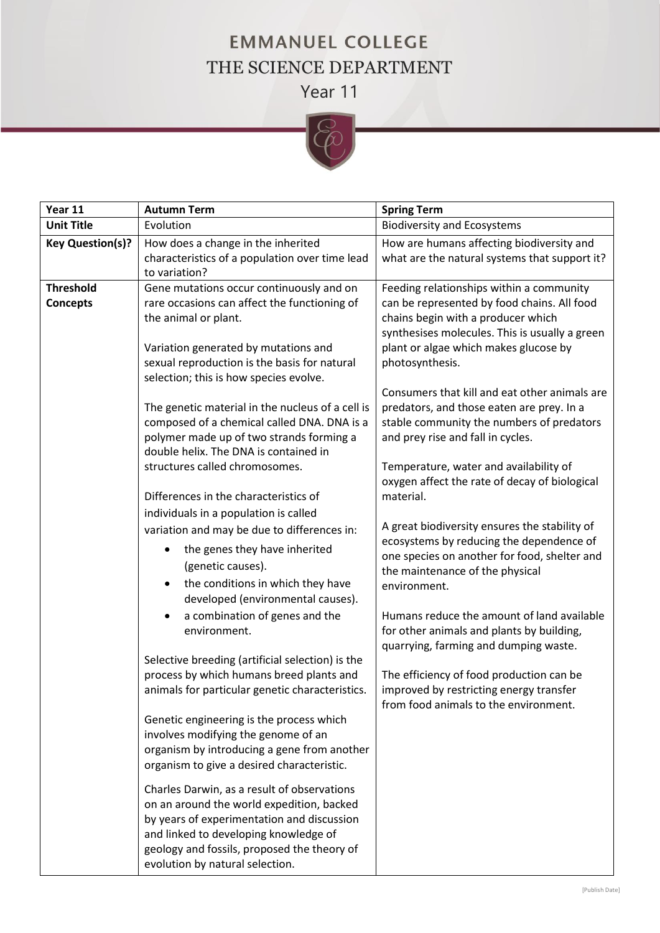## **EMMANUEL COLLEGE** THE SCIENCE DEPARTMENT Year 11



| Year 11                             | <b>Autumn Term</b>                                                                                                                                                                                                                                                | <b>Spring Term</b>                                                                                                                                                                                                                          |
|-------------------------------------|-------------------------------------------------------------------------------------------------------------------------------------------------------------------------------------------------------------------------------------------------------------------|---------------------------------------------------------------------------------------------------------------------------------------------------------------------------------------------------------------------------------------------|
| <b>Unit Title</b>                   | Evolution                                                                                                                                                                                                                                                         | <b>Biodiversity and Ecosystems</b>                                                                                                                                                                                                          |
| <b>Key Question(s)?</b>             | How does a change in the inherited<br>characteristics of a population over time lead<br>to variation?                                                                                                                                                             | How are humans affecting biodiversity and<br>what are the natural systems that support it?                                                                                                                                                  |
| <b>Threshold</b><br><b>Concepts</b> | Gene mutations occur continuously and on<br>rare occasions can affect the functioning of<br>the animal or plant.<br>Variation generated by mutations and<br>sexual reproduction is the basis for natural<br>selection; this is how species evolve.                | Feeding relationships within a community<br>can be represented by food chains. All food<br>chains begin with a producer which<br>synthesises molecules. This is usually a green<br>plant or algae which makes glucose by<br>photosynthesis. |
|                                     | The genetic material in the nucleus of a cell is<br>composed of a chemical called DNA. DNA is a<br>polymer made up of two strands forming a<br>double helix. The DNA is contained in                                                                              | Consumers that kill and eat other animals are<br>predators, and those eaten are prey. In a<br>stable community the numbers of predators<br>and prey rise and fall in cycles.                                                                |
|                                     | structures called chromosomes.<br>Differences in the characteristics of<br>individuals in a population is called                                                                                                                                                  | Temperature, water and availability of<br>oxygen affect the rate of decay of biological<br>material.                                                                                                                                        |
|                                     | variation and may be due to differences in:<br>the genes they have inherited<br>(genetic causes).<br>the conditions in which they have<br>$\bullet$<br>developed (environmental causes).                                                                          | A great biodiversity ensures the stability of<br>ecosystems by reducing the dependence of<br>one species on another for food, shelter and<br>the maintenance of the physical<br>environment.                                                |
|                                     | a combination of genes and the<br>environment.                                                                                                                                                                                                                    | Humans reduce the amount of land available<br>for other animals and plants by building,<br>quarrying, farming and dumping waste.                                                                                                            |
|                                     | Selective breeding (artificial selection) is the<br>process by which humans breed plants and<br>animals for particular genetic characteristics.                                                                                                                   | The efficiency of food production can be<br>improved by restricting energy transfer<br>from food animals to the environment.                                                                                                                |
|                                     | Genetic engineering is the process which<br>involves modifying the genome of an<br>organism by introducing a gene from another<br>organism to give a desired characteristic.                                                                                      |                                                                                                                                                                                                                                             |
|                                     | Charles Darwin, as a result of observations<br>on an around the world expedition, backed<br>by years of experimentation and discussion<br>and linked to developing knowledge of<br>geology and fossils, proposed the theory of<br>evolution by natural selection. |                                                                                                                                                                                                                                             |